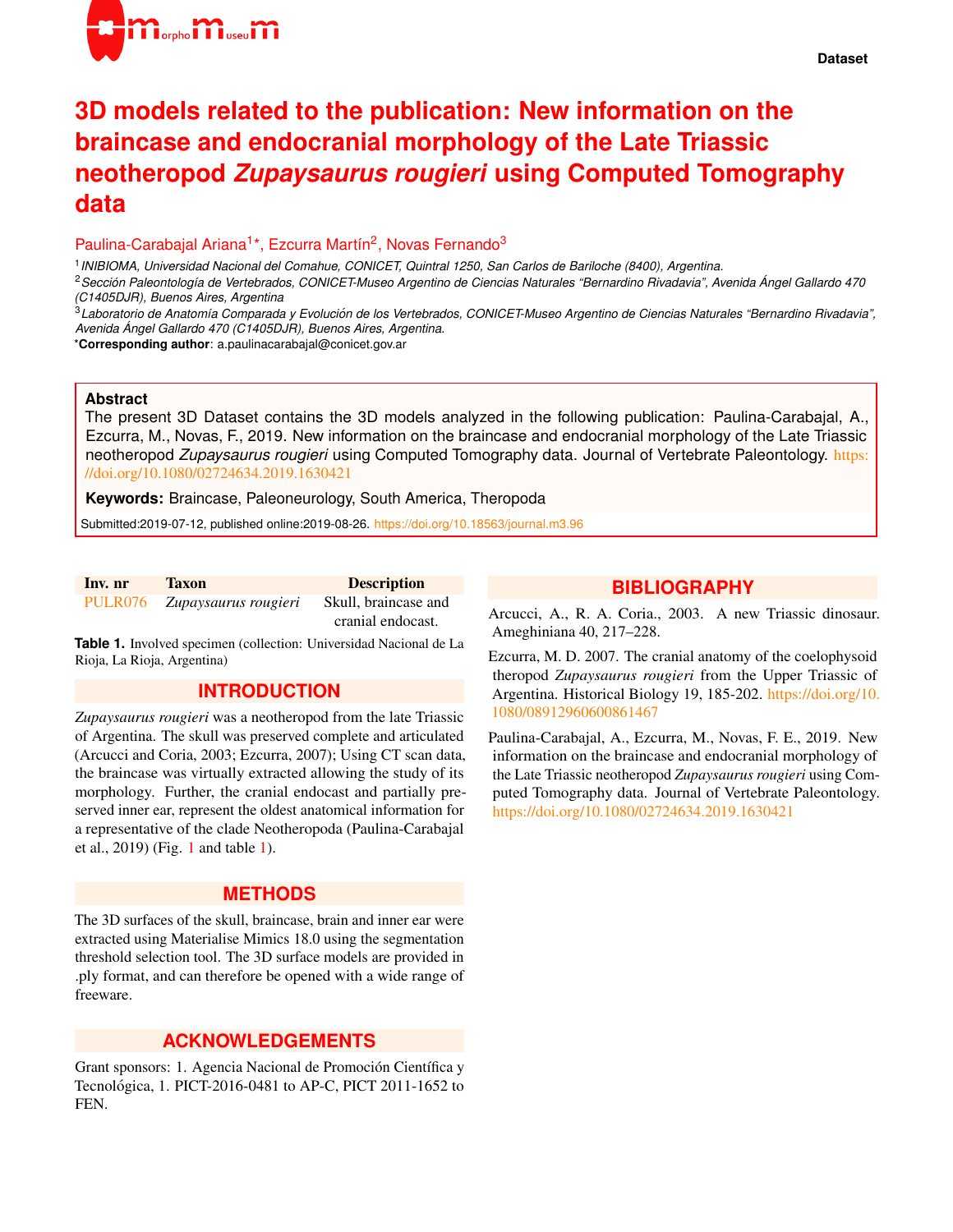

# **3D models related to the publication: New information on the braincase and endocranial morphology of the Late Triassic neotheropod** *Zupaysaurus rougieri* **using Computed Tomography data**

#### Paulina-Carabajal Ariana<sup>1\*</sup>, Ezcurra Martín<sup>2</sup>, Novas Fernando<sup>3</sup>

1 *INIBIOMA, Universidad Nacional del Comahue, CONICET, Quintral 1250, San Carlos de Bariloche (8400), Argentina.*

<sup>2</sup> Sección Paleontología de Vertebrados, CONICET-Museo Argentino de Ciencias Naturales "Bernardino Rivadavia", Avenida Ángel Gallardo 470 *(C1405DJR), Buenos Aires, Argentina*

<sup>3</sup>*Laboratorio de Anatom´ıa Comparada y Evolucion de los Vertebrados, CONICET-Museo Argentino de Ciencias Naturales "Bernardino Rivadavia", ´ Avenida Angel Gallardo 470 (C1405DJR), Buenos Aires, Argentina. ´*

\***Corresponding author**: a.paulinacarabajal@conicet.gov.ar

#### **Abstract**

The present 3D Dataset contains the 3D models analyzed in the following publication: Paulina-Carabajal, A., Ezcurra, M., Novas, F., 2019. New information on the braincase and endocranial morphology of the Late Triassic neotheropod *Zupaysaurus rougieri* using Computed Tomography data. Journal of Vertebrate Paleontology. [https:](https://doi.org/10.1080/02724634.2019.1630421) [//doi.org/10.1080/02724634.2019.1630421](https://doi.org/10.1080/02724634.2019.1630421)

**Keywords:** Braincase, Paleoneurology, South America, Theropoda

Submitted:2019-07-12, published online:2019-08-26. <https://doi.org/10.18563/journal.m3.96>

<span id="page-0-0"></span>

| Inv. nr | <b>Taxon</b>         | <b>Description</b>   |
|---------|----------------------|----------------------|
| PULR076 | Zupaysaurus rougieri | Skull, braincase and |
|         |                      | cranial endocast.    |

**Table 1.** Involved specimen (collection: Universidad Nacional de La Rioja, La Rioja, Argentina)

# **INTRODUCTION**

*Zupaysaurus rougieri* was a neotheropod from the late Triassic of Argentina. The skull was preserved complete and articulated (Arcucci and Coria, 2003; Ezcurra, 2007); Using CT scan data, the braincase was virtually extracted allowing the study of its morphology. Further, the cranial endocast and partially preserved inner ear, represent the oldest anatomical information for a representative of the clade Neotheropoda (Paulina-Carabajal et al., 2019) (Fig. [1](#page-1-0) and table [1\)](#page-0-0).

#### **METHODS**

The 3D surfaces of the skull, braincase, brain and inner ear were extracted using Materialise Mimics 18.0 using the segmentation threshold selection tool. The 3D surface models are provided in .ply format, and can therefore be opened with a wide range of freeware.

# **ACKNOWLEDGEMENTS**

Grant sponsors: 1. Agencia Nacional de Promoción Científica y Tecnológica, 1. PICT-2016-0481 to AP-C, PICT 2011-1652 to FEN.

### **BIBLIOGRAPHY**

Arcucci, A., R. A. Coria., 2003. A new Triassic dinosaur. Ameghiniana 40, 217–228.

Ezcurra, M. D. 2007. The cranial anatomy of the coelophysoid theropod *Zupaysaurus rougieri* from the Upper Triassic of Argentina. Historical Biology 19, 185-202. [https://doi.org/10.](https://doi.org/10.1080/08912960600861467) [1080/08912960600861467](https://doi.org/10.1080/08912960600861467)

Paulina-Carabajal, A., Ezcurra, M., Novas, F. E., 2019. New information on the braincase and endocranial morphology of the Late Triassic neotheropod *Zupaysaurus rougieri* using Computed Tomography data. Journal of Vertebrate Paleontology. <https://doi.org/10.1080/02724634.2019.1630421>